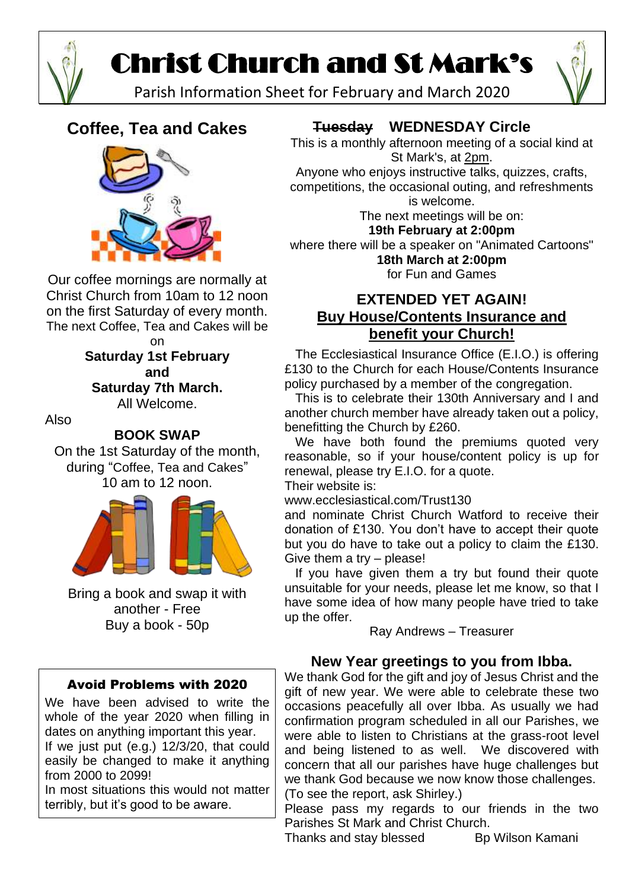

# Christ Church and St Mark's





# **Coffee, Tea and Cakes**



Our coffee mornings are normally at Christ Church from 10am to 12 noon on the first Saturday of every month. The next Coffee, Tea and Cakes will be

on

### **Saturday 1st February and Saturday 7th March.** All Welcome.

Also

### **BOOK SWAP**

On the 1st Saturday of the month, during "Coffee, Tea and Cakes" 10 am to 12 noon.



Bring a book and swap it with another - Free Buy a book - 50p

### Avoid Problems with 2020

We have been advised to write the whole of the year 2020 when filling in dates on anything important this year. If we just put (e.g.) 12/3/20, that could easily be changed to make it anything from 2000 to 2099!

In most situations this would not matter terribly, but it's good to be aware.

## **Tuesday WEDNESDAY Circle**

This is a monthly afternoon meeting of a social kind at St Mark's, at 2pm.

Anyone who enjoys instructive talks, quizzes, crafts, competitions, the occasional outing, and refreshments is welcome.

The next meetings will be on:

**19th February at 2:00pm**

where there will be a speaker on "Animated Cartoons" **18th March at 2:00pm** for Fun and Games

### **EXTENDED YET AGAIN! Buy House/Contents Insurance and benefit your Church!**

 The Ecclesiastical Insurance Office (E.I.O.) is offering £130 to the Church for each House/Contents Insurance policy purchased by a member of the congregation.

 This is to celebrate their 130th Anniversary and I and another church member have already taken out a policy, benefitting the Church by £260.

 We have both found the premiums quoted very reasonable, so if your house/content policy is up for renewal, please try E.I.O. for a quote.

Their website is:

www.ecclesiastical.com/Trust130

and nominate Christ Church Watford to receive their donation of £130. You don't have to accept their quote but you do have to take out a policy to claim the £130. Give them a try – please!

 If you have given them a try but found their quote unsuitable for your needs, please let me know, so that I have some idea of how many people have tried to take up the offer.

Ray Andrews – Treasurer

### **New Year greetings to you from Ibba.**

We thank God for the gift and joy of Jesus Christ and the gift of new year. We were able to celebrate these two occasions peacefully all over Ibba. As usually we had confirmation program scheduled in all our Parishes, we were able to listen to Christians at the grass-root level and being listened to as well. We discovered with concern that all our parishes have huge challenges but we thank God because we now know those challenges. (To see the report, ask Shirley.)

Please pass my regards to our friends in the two Parishes St Mark and Christ Church.

Thanks and stay blessed Bp Wilson Kamani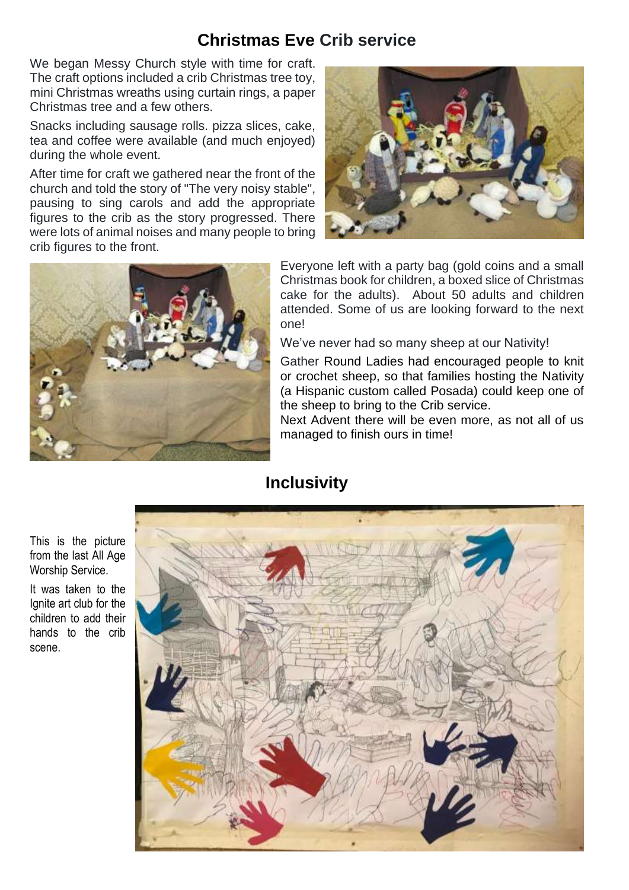### **Christmas Eve Crib service**

We began Messy Church style with time for craft. The craft options included a crib Christmas tree toy, mini Christmas wreaths using curtain rings, a paper Christmas tree and a few others.

Snacks including sausage rolls. pizza slices, cake, tea and coffee were available (and much enjoyed) during the whole event.

After time for craft we gathered near the front of the church and told the story of "The very noisy stable", pausing to sing carols and add the appropriate figures to the crib as the story progressed. There were lots of animal noises and many people to bring crib figures to the front.





Everyone left with a party bag (gold coins and a small Christmas book for children, a boxed slice of Christmas cake for the adults). About 50 adults and children attended. Some of us are looking forward to the next one!

We've never had so many sheep at our Nativity!

Gather Round Ladies had encouraged people to knit or crochet sheep, so that families hosting the Nativity (a Hispanic custom called Posada) could keep one of the sheep to bring to the Crib service.

Next Advent there will be even more, as not all of us managed to finish ours in time!



# **Inclusivity**

This is the picture from the last All Age Worship Service.

It was taken to the Ignite art club for the children to add their hands to the crib scene.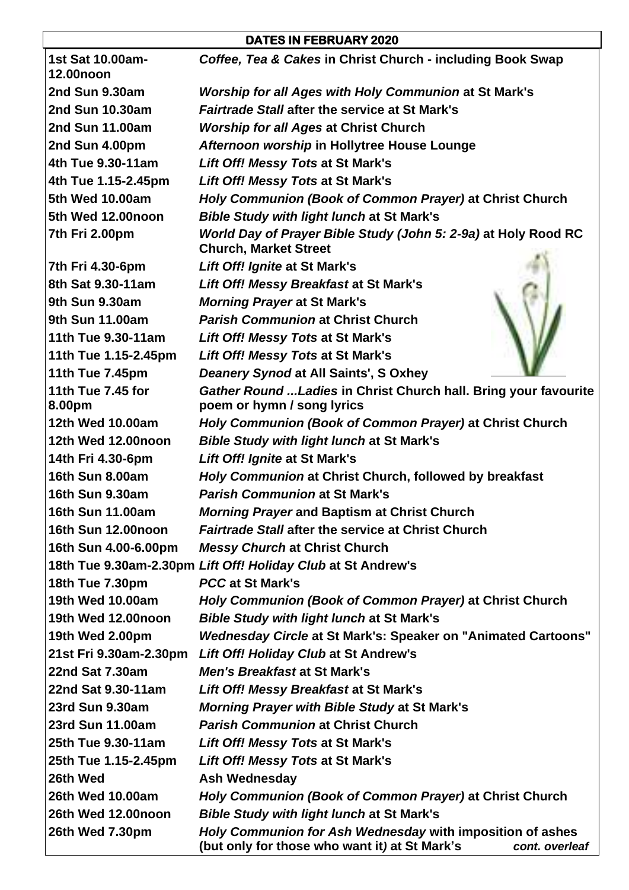#### **DATES IN FEBRUARY 2020**

| 1st Sat 10.00am-<br><b>12.00noon</b> | Coffee, Tea & Cakes in Christ Church - including Book Swap                                     |
|--------------------------------------|------------------------------------------------------------------------------------------------|
| 2nd Sun 9.30am                       | <b>Worship for all Ages with Holy Communion at St Mark's</b>                                   |
| 2nd Sun 10.30am                      | <b>Fairtrade Stall after the service at St Mark's</b>                                          |
| 2nd Sun 11.00am                      | <b>Worship for all Ages at Christ Church</b>                                                   |
| 2nd Sun 4.00pm                       | Afternoon worship in Hollytree House Lounge                                                    |
| 4th Tue 9.30-11am                    | Lift Off! Messy Tots at St Mark's                                                              |
| 4th Tue 1.15-2.45pm                  | <b>Lift Off! Messy Tots at St Mark's</b>                                                       |
| 5th Wed 10.00am                      | Holy Communion (Book of Common Prayer) at Christ Church                                        |
| 5th Wed 12.00noon                    | <b>Bible Study with light lunch at St Mark's</b>                                               |
| 7th Fri 2.00pm                       | World Day of Prayer Bible Study (John 5: 2-9a) at Holy Rood RC<br><b>Church, Market Street</b> |
| 7th Fri 4.30-6pm                     | Lift Off! Ignite at St Mark's                                                                  |
| 8th Sat 9.30-11am                    | Lift Off! Messy Breakfast at St Mark's                                                         |
| 9th Sun 9.30am                       | <b>Morning Prayer at St Mark's</b>                                                             |
| 9th Sun 11.00am                      | <b>Parish Communion at Christ Church</b>                                                       |
| 11th Tue 9.30-11am                   | Lift Off! Messy Tots at St Mark's                                                              |
| 11th Tue 1.15-2.45pm                 | Lift Off! Messy Tots at St Mark's                                                              |
| 11th Tue 7.45pm                      | Deanery Synod at All Saints', S Oxhey                                                          |
| 11th Tue 7.45 for                    | Gather Round  Ladies in Christ Church hall. Bring your favourite                               |
| 8.00pm                               | poem or hymn / song lyrics                                                                     |
| 12th Wed 10.00am                     | Holy Communion (Book of Common Prayer) at Christ Church                                        |
| 12th Wed 12.00noon                   | <b>Bible Study with light lunch at St Mark's</b>                                               |
| 14th Fri 4.30-6pm                    | Lift Off! Ignite at St Mark's                                                                  |
| 16th Sun 8.00am                      | Holy Communion at Christ Church, followed by breakfast                                         |
| 16th Sun 9.30am                      | <b>Parish Communion at St Mark's</b>                                                           |
| 16th Sun 11.00am                     | <b>Morning Prayer and Baptism at Christ Church</b>                                             |
| 16th Sun 12.00noon                   | <b>Fairtrade Stall after the service at Christ Church</b>                                      |
| 16th Sun 4.00-6.00pm                 | <b>Messy Church at Christ Church</b>                                                           |
|                                      | 18th Tue 9.30am-2.30pm Lift Off! Holiday Club at St Andrew's                                   |
| 18th Tue 7.30pm                      | <b>PCC at St Mark's</b>                                                                        |
| 19th Wed 10.00am                     | Holy Communion (Book of Common Prayer) at Christ Church                                        |
| 19th Wed 12.00noon                   | <b>Bible Study with light lunch at St Mark's</b>                                               |
| 19th Wed 2.00pm                      | <b>Wednesday Circle at St Mark's: Speaker on "Animated Cartoons"</b>                           |
| 21st Fri 9.30am-2.30pm               | Lift Off! Holiday Club at St Andrew's                                                          |
| 22nd Sat 7.30am                      | <b>Men's Breakfast at St Mark's</b>                                                            |
| 22nd Sat 9.30-11am                   | Lift Off! Messy Breakfast at St Mark's                                                         |
| 23rd Sun 9.30am                      | <b>Morning Prayer with Bible Study at St Mark's</b>                                            |
| 23rd Sun 11.00am                     | <b>Parish Communion at Christ Church</b>                                                       |
| 25th Tue 9.30-11am                   | Lift Off! Messy Tots at St Mark's                                                              |
| 25th Tue 1.15-2.45pm                 | Lift Off! Messy Tots at St Mark's                                                              |
| 26th Wed                             | <b>Ash Wednesday</b>                                                                           |
| 26th Wed 10.00am                     | Holy Communion (Book of Common Prayer) at Christ Church                                        |
| 26th Wed 12.00noon                   | <b>Bible Study with light lunch at St Mark's</b>                                               |
| 26th Wed 7.30pm                      | Holy Communion for Ash Wednesday with imposition of ashes                                      |
|                                      | (but only for those who want it) at St Mark's<br>cont. overleaf                                |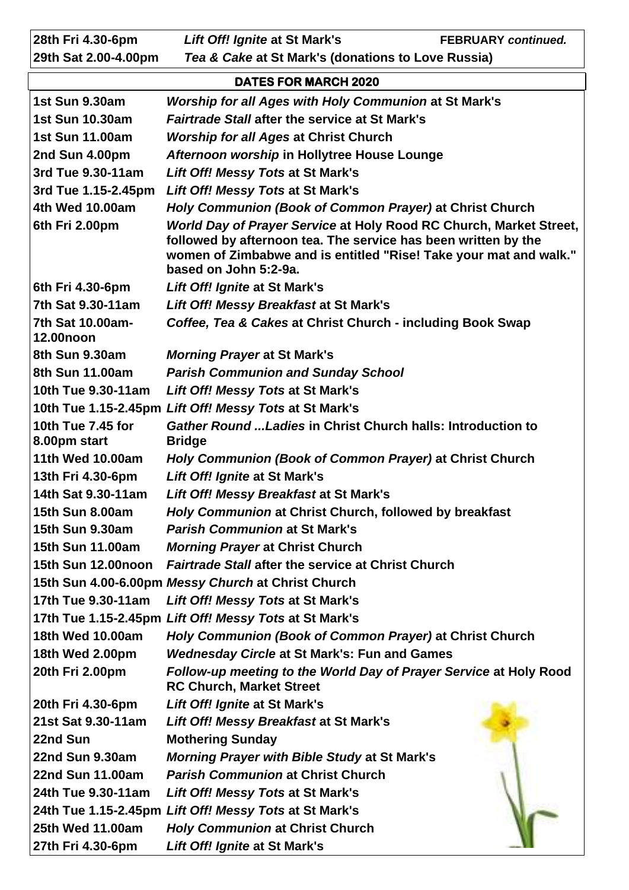| 28th Fri 4.30-6pm                    | Lift Off! Ignite at St Mark's<br><b>FEBRUARY</b> continued.                                                                                                                                                                        |  |  |
|--------------------------------------|------------------------------------------------------------------------------------------------------------------------------------------------------------------------------------------------------------------------------------|--|--|
| 29th Sat 2.00-4.00pm                 | Tea & Cake at St Mark's (donations to Love Russia)                                                                                                                                                                                 |  |  |
|                                      | <b>DATES FOR MARCH 2020</b>                                                                                                                                                                                                        |  |  |
| 1st Sun 9.30am                       | Worship for all Ages with Holy Communion at St Mark's                                                                                                                                                                              |  |  |
| 1st Sun 10.30am                      | <b>Fairtrade Stall after the service at St Mark's</b>                                                                                                                                                                              |  |  |
| 1st Sun 11.00am                      | <b>Worship for all Ages at Christ Church</b>                                                                                                                                                                                       |  |  |
| 2nd Sun 4.00pm                       | Afternoon worship in Hollytree House Lounge                                                                                                                                                                                        |  |  |
| 3rd Tue 9.30-11am                    | <b>Lift Off! Messy Tots at St Mark's</b>                                                                                                                                                                                           |  |  |
| 3rd Tue 1.15-2.45pm                  | Lift Off! Messy Tots at St Mark's                                                                                                                                                                                                  |  |  |
| 4th Wed 10.00am                      | Holy Communion (Book of Common Prayer) at Christ Church                                                                                                                                                                            |  |  |
| 6th Fri 2.00pm                       | World Day of Prayer Service at Holy Rood RC Church, Market Street,<br>followed by afternoon tea. The service has been written by the<br>women of Zimbabwe and is entitled "Rise! Take your mat and walk."<br>based on John 5:2-9a. |  |  |
| 6th Fri 4.30-6pm                     | Lift Off! Ignite at St Mark's                                                                                                                                                                                                      |  |  |
| 7th Sat 9.30-11am                    | Lift Off! Messy Breakfast at St Mark's                                                                                                                                                                                             |  |  |
| 7th Sat 10.00am-<br><b>12.00noon</b> | Coffee, Tea & Cakes at Christ Church - including Book Swap                                                                                                                                                                         |  |  |
| 8th Sun 9.30am                       | <b>Morning Prayer at St Mark's</b>                                                                                                                                                                                                 |  |  |
| 8th Sun 11,00am                      | <b>Parish Communion and Sunday School</b>                                                                                                                                                                                          |  |  |
| 10th Tue 9.30-11am                   | Lift Off! Messy Tots at St Mark's                                                                                                                                                                                                  |  |  |
|                                      | 10th Tue 1.15-2.45pm Lift Off! Messy Tots at St Mark's                                                                                                                                                                             |  |  |
| 10th Tue 7.45 for<br>8.00pm start    | <b>Gather Round  Ladies in Christ Church halls: Introduction to</b><br><b>Bridge</b>                                                                                                                                               |  |  |
| 11th Wed 10.00am                     | Holy Communion (Book of Common Prayer) at Christ Church                                                                                                                                                                            |  |  |
| 13th Fri 4.30-6pm                    | Lift Off! Ignite at St Mark's                                                                                                                                                                                                      |  |  |
| 14th Sat 9.30-11am                   | Lift Off! Messy Breakfast at St Mark's                                                                                                                                                                                             |  |  |
| 15th Sun 8.00am                      | Holy Communion at Christ Church, followed by breakfast                                                                                                                                                                             |  |  |
| 15th Sun 9.30am                      | <b>Parish Communion at St Mark's</b>                                                                                                                                                                                               |  |  |
| 15th Sun 11.00am                     | <b>Morning Prayer at Christ Church</b>                                                                                                                                                                                             |  |  |
| 15th Sun 12.00noon                   | <b>Fairtrade Stall after the service at Christ Church</b>                                                                                                                                                                          |  |  |
|                                      | 15th Sun 4.00-6.00pm Messy Church at Christ Church                                                                                                                                                                                 |  |  |
| 17th Tue 9.30-11am                   | Lift Off! Messy Tots at St Mark's                                                                                                                                                                                                  |  |  |
|                                      | 17th Tue 1.15-2.45pm Lift Off! Messy Tots at St Mark's                                                                                                                                                                             |  |  |
| 18th Wed 10.00am                     | Holy Communion (Book of Common Prayer) at Christ Church                                                                                                                                                                            |  |  |
| 18th Wed 2.00pm                      | <b>Wednesday Circle at St Mark's: Fun and Games</b>                                                                                                                                                                                |  |  |
| 20th Fri 2.00pm                      | Follow-up meeting to the World Day of Prayer Service at Holy Rood<br><b>RC Church, Market Street</b>                                                                                                                               |  |  |
| 20th Fri 4.30-6pm                    | Lift Off! Ignite at St Mark's                                                                                                                                                                                                      |  |  |
| 21st Sat 9.30-11am                   | Lift Off! Messy Breakfast at St Mark's                                                                                                                                                                                             |  |  |
| 22nd Sun                             | <b>Mothering Sunday</b>                                                                                                                                                                                                            |  |  |
| <b>22nd Sun 9.30am</b>               | <b>Morning Prayer with Bible Study at St Mark's</b>                                                                                                                                                                                |  |  |
| 22nd Sun 11.00am                     | <b>Parish Communion at Christ Church</b>                                                                                                                                                                                           |  |  |
| 24th Tue 9.30-11am                   | Lift Off! Messy Tots at St Mark's                                                                                                                                                                                                  |  |  |
|                                      | 24th Tue 1.15-2.45pm Lift Off! Messy Tots at St Mark's                                                                                                                                                                             |  |  |
| 25th Wed 11.00am                     | <b>Holy Communion at Christ Church</b>                                                                                                                                                                                             |  |  |
| 27th Fri 4.30-6pm                    | Lift Off! Ignite at St Mark's                                                                                                                                                                                                      |  |  |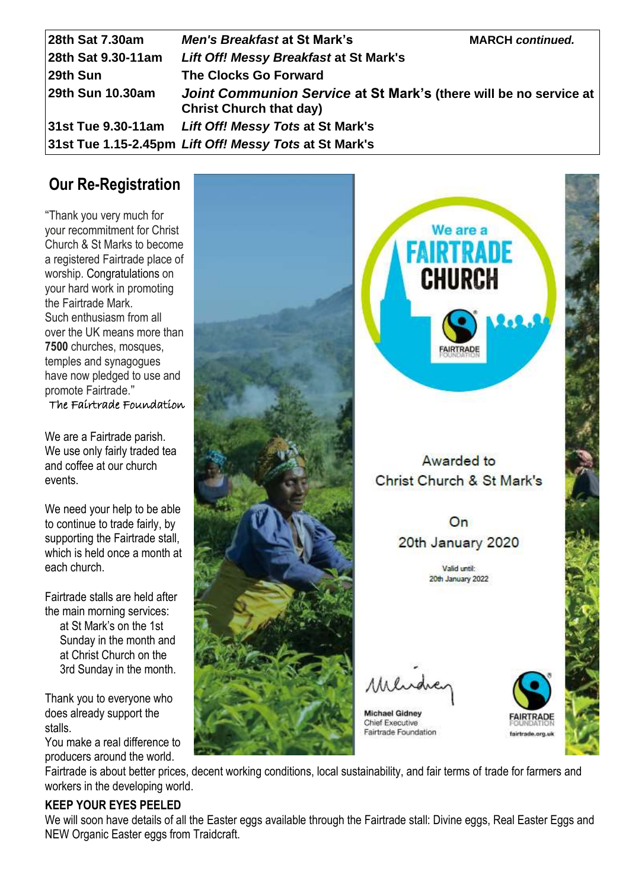| 28th Sat 7.30am    | Men's Breakfast at St Mark's                                                                        | <b>MARCH</b> continued. |
|--------------------|-----------------------------------------------------------------------------------------------------|-------------------------|
| 28th Sat 9.30-11am | Lift Off! Messy Breakfast at St Mark's                                                              |                         |
| 29th Sun           | <b>The Clocks Go Forward</b>                                                                        |                         |
| 29th Sun 10.30am   | Joint Communion Service at St Mark's (there will be no service at<br><b>Christ Church that day)</b> |                         |
|                    | 31st Tue 9.30-11am Lift Off! Messy Tots at St Mark's                                                |                         |
|                    | 31st Tue 1.15-2.45pm Lift Off! Messy Tots at St Mark's                                              |                         |
|                    |                                                                                                     |                         |

## **Our Re-Registration**

"Thank you very much for your recommitment for Christ Church & St Marks to become a registered Fairtrade place of worship. Congratulations on your hard work in promoting the Fairtrade Mark. Such enthusiasm from all over the UK means more than **7500** churches, mosques, temples and synagogues have now pledged to use and promote Fairtrade."

The Fairtrade Foundation

We are a Fairtrade parish. We use only fairly traded tea and coffee at our church events.

We need your help to be able to continue to trade fairly, by supporting the Fairtrade stall, which is held once a month at each church.

Fairtrade stalls are held after the main morning services:

at St Mark's on the 1st Sunday in the month and at Christ Church on the 3rd Sunday in the month.

Thank you to everyone who does already support the stalls.

You make a real difference to producers around the world.

Fairtrade is about better prices, decent working conditions, local sustainability, and fair terms of trade for farmers and workers in the developing world.

#### **KEEP YOUR EYES PEELED**

We will soon have details of all the Easter eggs available through the Fairtrade stall: Divine eggs, Real Easter Eggs and NEW Organic Easter eggs from Traidcraft.

**AIRTRADE** Awarded to Christ Church & St Mark's  $On$ 20th January 2020 Valid until: 20th January 2022 Mend **Michael Gidney** Chief Executive

**Fairtrade Foundation** 

We are a

**FAIRTRADE**<br>CHURCH